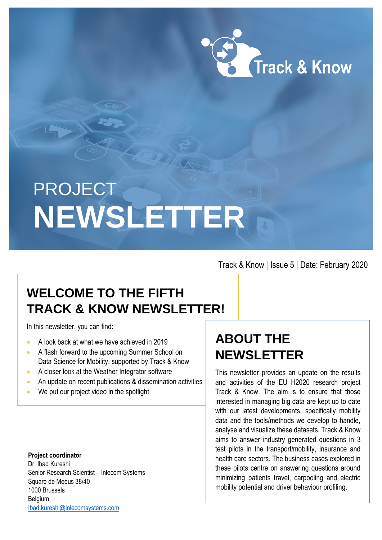

# **PROJECT NEWSLETTER**

Track & Know **|** Issue 5 **|** Date: February 2020

# **WELCOME TO THE FIFTH TRACK & KNOW NEWSLETTER!**

In this newsletter, you can find:

- A look back at what we have achieved in 2019
- A flash forward to the upcoming Summer School on Data Science for Mobility, supported by Track & Know
- A closer look at the Weather Integrator software
- An update on recent publications & dissemination activities
- We put our project video in the spotlight

**Project coordinator** Dr. Ibad Kureshi Senior Research Scientist – Inlecom Systems Square de Meeus 38/40 1000 Brussels Belgium [Ibad.kureshi@inlecomsystems.com](mailto:Ibad.kureshi@inlecomsystems.com)

# **ABOUT THE NEWSLETTER**

This newsletter provides an update on the results and activities of the EU H2020 research project Track & Know. The aim is to ensure that those interested in managing big data are kept up to date with our latest developments, specifically mobility data and the tools/methods we develop to handle, analyse and visualize these datasets. Track & Know aims to answer industry generated questions in 3 test pilots in the transport/mobility, insurance and health care sectors. The business cases explored in these pilots centre on answering questions around minimizing patients travel, carpooling and electric mobility potential and driver behaviour profiling.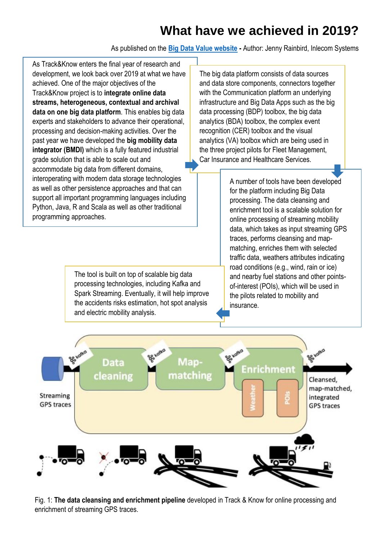# **What have we achieved in 2019?**

As published on the **[Big Data Value website](https://www.big-data-value.eu/trackknow-what-we-have-achieved-in-2019/) -** Author: Jenny Rainbird, Inlecom Systems

As Track&Know enters the final year of research and development, we look back over 2019 at what we have achieved. One of the major objectives of the Track&Know project is to **integrate online data streams, heterogeneous, contextual and archival data on one big data platform**. This enables big data experts and stakeholders to advance their operational, processing and decision-making activities. Over the past year we have developed the **big mobility data integrator (BMDI)** which is a fully featured industrial grade solution that is able to scale out and accommodate big data from different domains, interoperating with modern data storage technologies as well as other persistence approaches and that can support all important programming languages including Python, Java, R and Scala as well as other traditional programming approaches.

> The tool is built on top of scalable big data processing technologies, including Kafka and Spark Streaming. Eventually, it will help improve the accidents risks estimation, hot spot analysis and electric mobility analysis.

The big data platform consists of data sources and data store components, connectors together with the Communication platform an underlying infrastructure and Big Data Apps such as the big data processing (BDP) toolbox, the big data analytics (BDA) toolbox, the complex event recognition (CER) toolbox and the visual analytics (VA) toolbox which are being used in the three project pilots for Fleet Management, Car Insurance and Healthcare Services.

> A number of tools have been developed for the platform including Big Data processing. The data cleansing and enrichment tool is a scalable solution for online processing of streaming mobility data, which takes as input streaming GPS traces, performs cleansing and mapmatching, enriches them with selected traffic data, weathers attributes indicating road conditions (e.g., wind, rain or ice) and nearby fuel stations and other pointsof-interest (POIs), which will be used in the pilots related to mobility and insurance.



Fig. 1: **The data cleansing and enrichment pipeline** developed in Track & Know for online processing and enrichment of streaming GPS traces.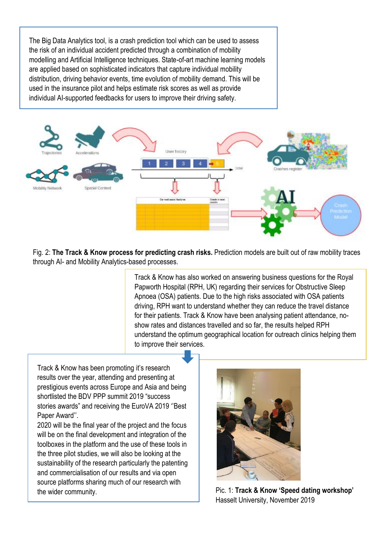The Big Data Analytics tool, is a crash prediction tool which can be used to assess the risk of an individual accident predicted through a combination of mobility modelling and Artificial Intelligence techniques. State-of-art machine learning models are applied based on sophisticated indicators that capture individual mobility distribution, driving behavior events, time evolution of mobility demand. This will be used in the insurance pilot and helps estimate risk scores as well as provide individual AI-supported feedbacks for users to improve their driving safety.

j



Fig. 2: **The Track & Know process for predicting crash risks.** Prediction models are built out of raw mobility traces through AI- and Mobility Analytics-based processes.

> Track & Know has also worked on answering business questions for the Royal Papworth Hospital (RPH, UK) regarding their services for Obstructive Sleep Apnoea (OSA) patients. Due to the high risks associated with OSA patients driving, RPH want to understand whether they can reduce the travel distance for their patients. Track & Know have been analysing patient attendance, noshow rates and distances travelled and so far, the results helped RPH understand the optimum geographical location for outreach clinics helping them to improve their services.

Track & Know has been promoting it's research results over the year, attending and presenting at prestigious events across Europe and Asia and being shortlisted the BDV PPP summit 2019 "success stories awards" and receiving the EuroVA 2019 ''Best Paper Award''.

2020 will be the final year of the project and the focus will be on the final development and integration of the toolboxes in the platform and the use of these tools in the three pilot studies, we will also be looking at the sustainability of the research particularly the patenting and commercialisation of our results and via open source platforms sharing much of our research with the wider community.



Pic. 1: **Track & Know 'Speed dating workshop'** Hasselt University, November 2019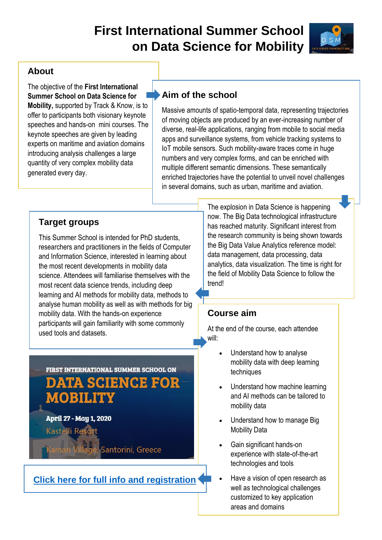# **First International Summer School on Data Science for Mobility**



# **About**

The objective of the **First International Summer School on Data Science for Mobility,** supported by Track & Know, is to offer to participants both visionary keynote speeches and hands-on mini courses. The keynote speeches are given by leading experts on maritime and aviation domains introducing analysis challenges a large quantity of very complex mobility data generated every day.

# **Aim of the school**

Massive amounts of spatio-temporal data, representing trajectories of moving objects are produced by an ever-increasing number of diverse, real-life applications, ranging from mobile to social media apps and surveillance systems, from vehicle tracking systems to IoT mobile sensors. Such mobility-aware traces come in huge numbers and very complex forms, and can be enriched with multiple different semantic dimensions. These semantically enriched trajectories have the potential to unveil novel challenges in several domains, such as urban, maritime and aviation.

# **Target groups**

This Summer School is intended for PhD students, researchers and practitioners in the fields of Computer and Information Science, interested in learning about the most recent developments in mobility data science. Attendees will familiarise themselves with the most recent data science trends, including deep learning and AI methods for mobility data, methods to analyse human mobility as well as with methods for big mobility data. With the hands-on experience participants will gain familiarity with some commonly used tools and datasets.

# FIRST INTERNATIONAL SUMMER SCHOOL ON **DATA SGIENCE FOR MOBILITY**

April 27 - May 1, 2020 **Kastelli Resc** 

Santorini, Greece

# **[Click here for full info and registration](http://master-school.isti.cnr.it/%20.)**

The explosion in Data Science is happening now. The Big Data technological infrastructure has reached maturity. Significant interest from the research community is being shown towards the Big Data Value Analytics reference model: data management, data processing, data analytics, data visualization. The time is right for the field of Mobility Data Science to follow the trend!

#### **Course aim**

At the end of the course, each attendee will:

- Understand how to analyse mobility data with deep learning techniques
- Understand how machine learning and AI methods can be tailored to mobility data
- Understand how to manage Big Mobility Data
- Gain significant hands-on experience with state-of-the-art technologies and tools
- Have a vision of open research as well as technological challenges customized to key application areas and domains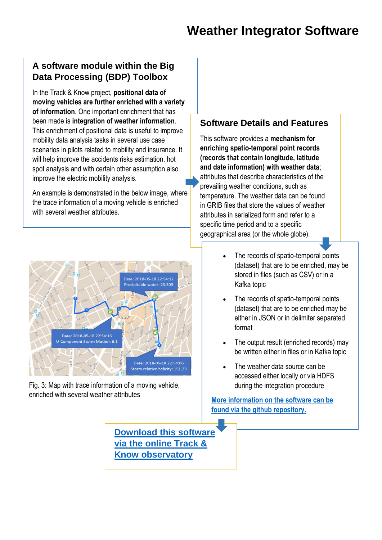# **A software module within the Big Data Processing (BDP) Toolbox**

In the Track & Know project, **positional data of moving vehicles are further enriched with a variety of information**. One important enrichment that has been made is **integration of weather information**. This enrichment of positional data is useful to improve mobility data analysis tasks in several use case scenarios in pilots related to mobility and insurance. It will help improve the accidents risks estimation, hot spot analysis and with certain other assumption also improve the electric mobility analysis.

An example is demonstrated in the below image, where the trace information of a moving vehicle is enriched with several weather attributes.



Fig. 3: Map with trace information of a moving vehicle, enriched with several weather attributes

## **Software Details and Features**

This software provides a **mechanism for enriching spatio-temporal point records (records that contain longitude, latitude and date information) with weather data**; attributes that describe characteristics of the prevailing weather conditions, such as temperature. The weather data can be found in GRIB files that store the values of weather attributes in serialized form and refer to a specific time period and to a specific geographical area (or the whole globe).

- The records of spatio-temporal points (dataset) that are to be enriched, may be stored in files (such as CSV) or in a Kafka topic
- The records of spatio-temporal points (dataset) that are to be enriched may be either in JSON or in delimiter separated format
- The output result (enriched records) may be written either in files or in Kafka topic
- The weather data source can be accessed either locally or via HDFS during the integration procedure

**[More information on the software can be](https://github.com/nkoutroumanis/Weather-Integrator)  [found via the github repository.](https://github.com/nkoutroumanis/Weather-Integrator)**

**Download [this software](https://trackandknowproject.eu/file-repository/?eeSFLF_ListFolder=Track-and-Know-Software)  [via the online Track &](https://trackandknowproject.eu/file-repository/?eeSFLF_ListFolder=Track-and-Know-Software)  [Know observatory](https://trackandknowproject.eu/file-repository/?eeSFLF_ListFolder=Track-and-Know-Software)**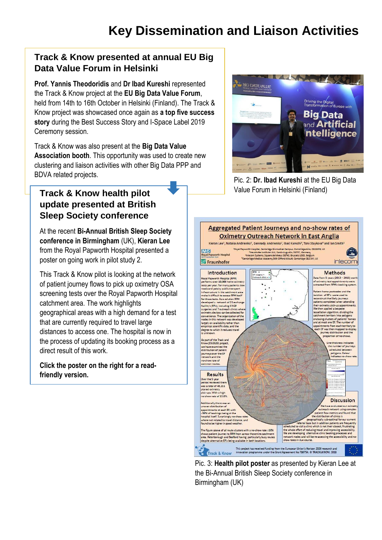## **Track & Know presented at annual EU Big Data Value Forum in Helsinki**

**Prof. Yannis Theodoridis** and **Dr Ibad Kureshi** represented the Track & Know project at the **EU Big Data Value Forum**, held from 14th to 16th October in Helsinki (Finland). The Track & Know project was showcased once again as **a top five success story** during the Best Success Story and I-Space Label 2019 Ceremony session.

Track & Know was also present at the **Big Data Value Association booth**. This opportunity was used to create new clustering and liaison activities with other Big Data PPP and BDVA related projects.

# **Track & Know health pilot update presented at British Sleep Society conference**

At the recent **Bi-Annual British Sleep Society conference in Birmingham** (UK), **Kieran Lee** from the Royal Papworth Hospital presented a poster on going work in pilot study 2.

This Track & Know pilot is looking at the network of patient journey flows to pick up oximetry OSA screening tests over the Royal Papworth Hospital catchment area. The work highlights geographical areas with a high demand for a test that are currently required to travel large distances to access one. The hospital is now in the process of updating its booking process as a direct result of this work.

**Click the poster on the right for a readfriendly version.** 



Pic. 2: **Dr. Ibad Kureshi** at the EU Big Data Value Forum in Helsinki (Finland)



Pic. 3: **Health pilot poster** as presented by Kieran Lee at the Bi-Annual British Sleep Society conference in Birmingham (UK)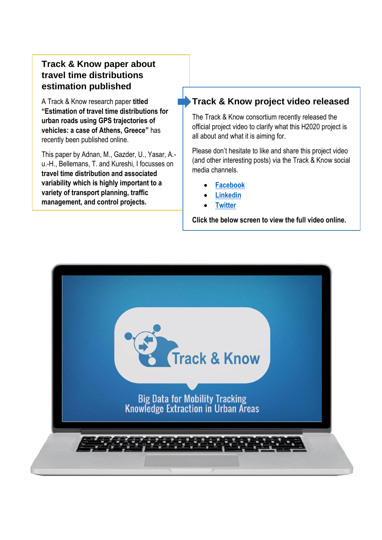# **Track & Know paper about travel time distributions estimation published**

A Track & Know research paper **titled "Estimation of travel time distributions for urban roads using GPS trajectories of vehicles: a case of Athens, Greece"** has recently been published online.

This paper by Adnan, M., Gazder, U., Yasar, A. u.-H., Bellemans, T. and Kureshi, I focusses on **travel time distribution and associated variability which is highly important to a variety of transport planning, traffic management, and control projects.**

## **Track & Know project video released**

The Track & Know consortium recently released the official project video to clarify what this H2020 project is all about and what it is aiming for.

Please don't hesitate to like and share this project video (and other interesting posts) via the Track & Know social media channels.

- **[Facebook](https://www.facebook.com/TrackandKnow/)**
- **[Linkedin](https://www.linkedin.com/groups/12122105/)**
- **[Twitter](https://twitter.com/TrackandKnow)**

**Click the below screen to view the full video online.**